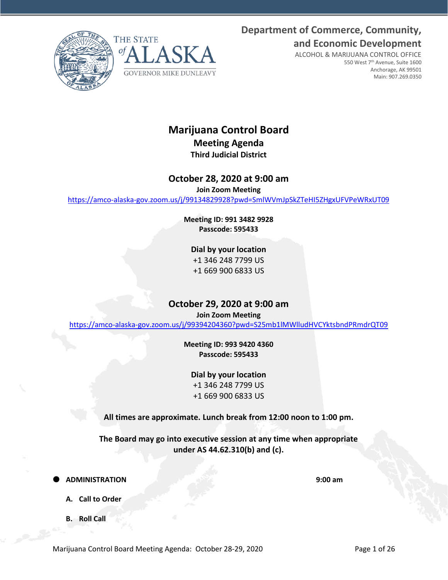**Department of Commerce, Community, and Economic Development**

ALCOHOL & MARIJUANA CONTROL OFFICE

550 West 7<sup>th</sup> Avenue, Suite 1600 Anchorage, AK 99501 Main: 907.269.0350





**Marijuana Control Board Meeting Agenda**

# **Third Judicial District**

# **October 28, 2020 at 9:00 am**

**Join Zoom Meeting**

<https://amco-alaska-gov.zoom.us/j/99134829928?pwd=SmlWVmJpSkZTeHI5ZHgxUFVPeWRxUT09>

**Meeting ID: 991 3482 9928 Passcode: 595433**

# **Dial by your location**

+1 346 248 7799 US +1 669 900 6833 US

# **October 29, 2020 at 9:00 am**

**Join Zoom Meeting**

<https://amco-alaska-gov.zoom.us/j/99394204360?pwd=S25mb1lMWlludHVCYktsbndPRmdrQT09>

**Meeting ID: 993 9420 4360 Passcode: 595433**

**Dial by your location** +1 346 248 7799 US +1 669 900 6833 US

**All times are approximate. Lunch break from 12:00 noon to 1:00 pm.**

**The Board may go into executive session at any time when appropriate under AS 44.62.310(b) and (c).**

**ADMINISTRATION 9:00 am**

- **A. Call to Order**
- **B. Roll Call**

Marijuana Control Board Meeting Agenda: October 28-29, 2020 Page 1 of 26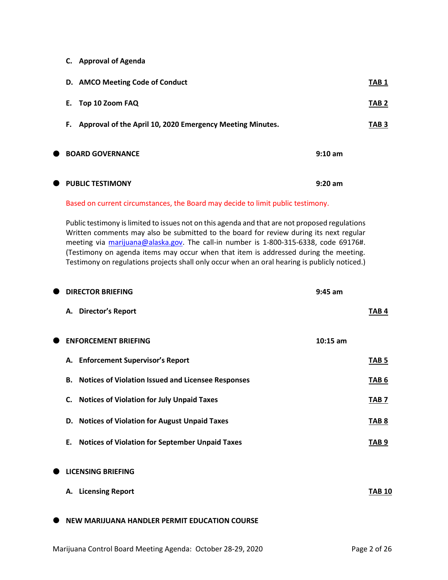**C. Approval of Agenda**

|           | D. AMCO Meeting Code of Conduct                              |                   | TAB 1            |
|-----------|--------------------------------------------------------------|-------------------|------------------|
|           | Е.<br>Top 10 Zoom FAQ                                        |                   | TAB <sub>2</sub> |
|           | F. Approval of the April 10, 2020 Emergency Meeting Minutes. |                   | TAB <sub>3</sub> |
| $\bullet$ | <b>BOARD GOVERNANCE</b>                                      | $9:10 \text{ am}$ |                  |
|           | <b>THE PUBLIC TESTIMONY</b>                                  | $9:20$ am         |                  |

### Based on current circumstances, the Board may decide to limit public testimony.

Public testimony is limited to issues not on this agenda and that are not proposed regulations Written comments may also be submitted to the board for review during its next regular meeting via [marijuana@alaska.gov.](mailto:marijuana@alaska.gov) The call-in number is 1-800-315-6338, code 69176#. (Testimony on agenda items may occur when that item is addressed during the meeting. Testimony on regulations projects shall only occur when an oral hearing is publicly noticed.)

| <b>DIRECTOR BRIEFING</b><br>$9:45$ am                           |                  |
|-----------------------------------------------------------------|------------------|
| A. Director's Report                                            | <b>TAB4</b>      |
| <b>ENFORCEMENT BRIEFING</b>                                     | $10:15$ am       |
| A. Enforcement Supervisor's Report                              | TAB <sub>5</sub> |
| <b>Notices of Violation Issued and Licensee Responses</b><br>В. | TAB <sub>6</sub> |
| <b>Notices of Violation for July Unpaid Taxes</b><br>C.         | TAB <sub>7</sub> |
| D. Notices of Violation for August Unpaid Taxes                 | TAB <sub>8</sub> |
| <b>Notices of Violation for September Unpaid Taxes</b><br>Ε.    | TAB <sub>9</sub> |
| <b>LICENSING BRIEFING</b>                                       |                  |
| <b>Licensing Report</b><br>А.                                   | <b>TAB 10</b>    |
| NEW MARIJUANA HANDLER PERMIT EDUCATION COURSE                   |                  |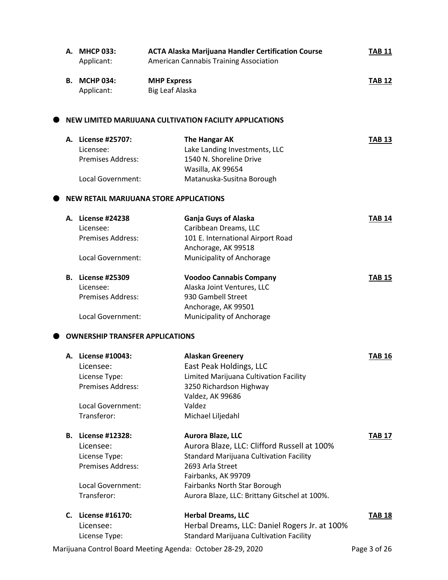|    | A. MHCP 033:<br>Applicant:             | <b>ACTA Alaska Marijuana Handler Certification Course</b><br>American Cannabis Training Association | <b>TAB 11</b> |
|----|----------------------------------------|-----------------------------------------------------------------------------------------------------|---------------|
| В. | <b>MCHP 034:</b>                       | <b>MHP Express</b>                                                                                  | <b>TAB 12</b> |
|    | Applicant:                             | Big Leaf Alaska                                                                                     |               |
|    |                                        | NEW LIMITED MARIJUANA CULTIVATION FACILITY APPLICATIONS                                             |               |
|    | A. License #25707:                     | The Hangar AK                                                                                       | <b>TAB 13</b> |
|    | Licensee:                              | Lake Landing Investments, LLC                                                                       |               |
|    | <b>Premises Address:</b>               | 1540 N. Shoreline Drive                                                                             |               |
|    |                                        | Wasilla, AK 99654                                                                                   |               |
|    | Local Government:                      | Matanuska-Susitna Borough                                                                           |               |
|    |                                        | <b>NEW RETAIL MARIJUANA STORE APPLICATIONS</b>                                                      |               |
|    | A. License #24238                      | <b>Ganja Guys of Alaska</b>                                                                         | <b>TAB 14</b> |
|    | Licensee:                              | Caribbean Dreams, LLC                                                                               |               |
|    | <b>Premises Address:</b>               | 101 E. International Airport Road                                                                   |               |
|    |                                        | Anchorage, AK 99518                                                                                 |               |
|    | Local Government:                      | Municipality of Anchorage                                                                           |               |
|    | <b>B.</b> License #25309               | <b>Voodoo Cannabis Company</b>                                                                      | <b>TAB 15</b> |
|    | Licensee:                              | Alaska Joint Ventures, LLC                                                                          |               |
|    | <b>Premises Address:</b>               | 930 Gambell Street                                                                                  |               |
|    |                                        | Anchorage, AK 99501                                                                                 |               |
|    | Local Government:                      | Municipality of Anchorage                                                                           |               |
|    | <b>OWNERSHIP TRANSFER APPLICATIONS</b> |                                                                                                     |               |
|    | A. License #10043:                     | <b>Alaskan Greenery</b>                                                                             | <b>TAB 16</b> |
|    | Licensee:                              | East Peak Holdings, LLC                                                                             |               |
|    | License Type:                          | Limited Marijuana Cultivation Facility                                                              |               |
|    | Premises Address:                      | 3250 Richardson Highway                                                                             |               |
|    |                                        | Valdez, AK 99686                                                                                    |               |
|    | Local Government:                      | Valdez                                                                                              |               |
|    | Transferor:                            | Michael Liljedahl                                                                                   |               |
|    | <b>B.</b> License #12328:              | <b>Aurora Blaze, LLC</b>                                                                            | <b>TAB 17</b> |
|    | Licensee:                              | Aurora Blaze, LLC: Clifford Russell at 100%                                                         |               |
|    | License Type:                          | <b>Standard Marijuana Cultivation Facility</b>                                                      |               |
|    | <b>Premises Address:</b>               | 2693 Arla Street<br>Fairbanks, AK 99709                                                             |               |
|    | Local Government:                      | Fairbanks North Star Borough                                                                        |               |
|    | Transferor:                            | Aurora Blaze, LLC: Brittany Gitschel at 100%.                                                       |               |
| C. | License #16170:                        | <b>Herbal Dreams, LLC</b>                                                                           | <b>TAB 18</b> |
|    | Licensee:                              | Herbal Dreams, LLC: Daniel Rogers Jr. at 100%                                                       |               |
|    | License Type:                          | <b>Standard Marijuana Cultivation Facility</b>                                                      |               |
|    |                                        |                                                                                                     |               |

Marijuana Control Board Meeting Agenda: October 28-29, 2020 Page 3 of 26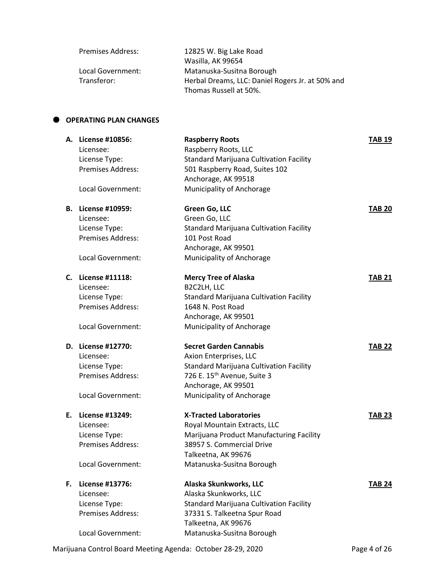| <b>Premises Address:</b> | 12825 W. Big Lake Road                           |
|--------------------------|--------------------------------------------------|
|                          | Wasilla, AK 99654                                |
| Local Government:        | Matanuska-Susitna Borough                        |
| Transferor:              | Herbal Dreams, LLC: Daniel Rogers Jr. at 50% and |
|                          | Thomas Russell at 50%.                           |

# **OPERATING PLAN CHANGES**

|    | A. License #10856:<br>Licensee: | <b>Raspberry Roots</b><br>Raspberry Roots, LLC   | <b>TAB 19</b> |
|----|---------------------------------|--------------------------------------------------|---------------|
|    | License Type:                   | <b>Standard Marijuana Cultivation Facility</b>   |               |
|    | Premises Address:               | 501 Raspberry Road, Suites 102                   |               |
|    |                                 | Anchorage, AK 99518                              |               |
|    | Local Government:               | Municipality of Anchorage                        |               |
| В. | <b>License #10959:</b>          | Green Go, LLC                                    | <b>TAB 20</b> |
|    | Licensee:                       | Green Go, LLC                                    |               |
|    | License Type:                   | <b>Standard Marijuana Cultivation Facility</b>   |               |
|    | <b>Premises Address:</b>        | 101 Post Road                                    |               |
|    |                                 | Anchorage, AK 99501                              |               |
|    | Local Government:               | Municipality of Anchorage                        |               |
|    | C. License #11118:              | <b>Mercy Tree of Alaska</b>                      | <b>TAB 21</b> |
|    | Licensee:                       | B2C2LH, LLC                                      |               |
|    | License Type:                   | <b>Standard Marijuana Cultivation Facility</b>   |               |
|    | Premises Address:               | 1648 N. Post Road                                |               |
|    |                                 | Anchorage, AK 99501                              |               |
|    | Local Government:               | Municipality of Anchorage                        |               |
|    | D. License #12770:              | <b>Secret Garden Cannabis</b>                    | <b>TAB 22</b> |
|    | Licensee:                       | Axion Enterprises, LLC                           |               |
|    | License Type:                   | <b>Standard Marijuana Cultivation Facility</b>   |               |
|    | Premises Address:               | 726 E. 15 <sup>th</sup> Avenue, Suite 3          |               |
|    | Local Government:               | Anchorage, AK 99501<br>Municipality of Anchorage |               |
|    |                                 |                                                  |               |
| Е. | License #13249:                 | <b>X-Tracted Laboratories</b>                    | <b>TAB 23</b> |
|    | Licensee:                       | Royal Mountain Extracts, LLC                     |               |
|    | License Type:                   | Marijuana Product Manufacturing Facility         |               |
|    | Premises Address:               | 38957 S. Commercial Drive                        |               |
|    |                                 | Talkeetna, AK 99676                              |               |
|    | Local Government:               | Matanuska-Susitna Borough                        |               |
| F. | <b>License #13776:</b>          | Alaska Skunkworks, LLC                           | <b>TAB 24</b> |
|    | Licensee:                       | Alaska Skunkworks, LLC                           |               |
|    | License Type:                   | <b>Standard Marijuana Cultivation Facility</b>   |               |
|    | Premises Address:               | 37331 S. Talkeetna Spur Road                     |               |
|    |                                 | Talkeetna, AK 99676<br>Matanuska-Susitna Borough |               |
|    | Local Government:               |                                                  |               |

Marijuana Control Board Meeting Agenda: October 28-29, 2020 Page 4 of 26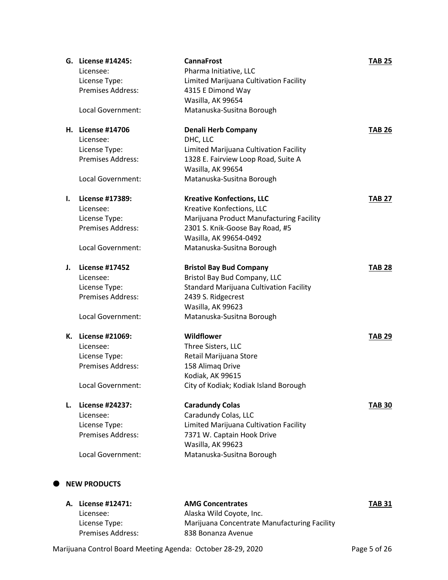|    | G. License #14245:    | <b>CannaFrost</b>                              | <b>TAB 25</b> |
|----|-----------------------|------------------------------------------------|---------------|
|    | Licensee:             | Pharma Initiative, LLC                         |               |
|    | License Type:         | Limited Marijuana Cultivation Facility         |               |
|    | Premises Address:     | 4315 E Dimond Way                              |               |
|    |                       | Wasilla, AK 99654                              |               |
|    | Local Government:     | Matanuska-Susitna Borough                      |               |
|    | H. License #14706     | <b>Denali Herb Company</b>                     | <b>TAB 26</b> |
|    | Licensee:             | DHC, LLC                                       |               |
|    | License Type:         | Limited Marijuana Cultivation Facility         |               |
|    | Premises Address:     | 1328 E. Fairview Loop Road, Suite A            |               |
|    |                       | Wasilla, AK 99654                              |               |
|    | Local Government:     | Matanuska-Susitna Borough                      |               |
| I. | License #17389:       | <b>Kreative Konfections, LLC</b>               | <b>TAB 27</b> |
|    | Licensee:             | Kreative Konfections, LLC                      |               |
|    | License Type:         | Marijuana Product Manufacturing Facility       |               |
|    | Premises Address:     | 2301 S. Knik-Goose Bay Road, #5                |               |
|    |                       | Wasilla, AK 99654-0492                         |               |
|    | Local Government:     | Matanuska-Susitna Borough                      |               |
| J. | <b>License #17452</b> | <b>Bristol Bay Bud Company</b>                 | <b>TAB 28</b> |
|    | Licensee:             | Bristol Bay Bud Company, LLC                   |               |
|    | License Type:         | <b>Standard Marijuana Cultivation Facility</b> |               |
|    | Premises Address:     | 2439 S. Ridgecrest                             |               |
|    |                       | Wasilla, AK 99623                              |               |
|    | Local Government:     | Matanuska-Susitna Borough                      |               |
| К. | License #21069:       | Wildflower                                     | <b>TAB 29</b> |
|    | Licensee:             | Three Sisters, LLC                             |               |
|    | License Type:         | Retail Marijuana Store                         |               |
|    | Premises Address:     | 158 Alimaq Drive                               |               |
|    |                       | Kodiak, AK 99615                               |               |
|    | Local Government:     | City of Kodiak; Kodiak Island Borough          |               |
| L. | License #24237:       | <b>Caradundy Colas</b>                         | <b>TAB 30</b> |
|    | Licensee:             | Caradundy Colas, LLC                           |               |
|    | License Type:         | Limited Marijuana Cultivation Facility         |               |
|    | Premises Address:     | 7371 W. Captain Hook Drive                     |               |
|    |                       | Wasilla, AK 99623                              |               |
|    | Local Government:     | Matanuska-Susitna Borough                      |               |
|    |                       |                                                |               |
|    | <b>NEW DRODUCTS</b>   |                                                |               |

# $\bullet$  NEW PRODUCTS

| A. License #12471:       | <b>AMG Concentrates</b>                      | <b>TAB 31</b> |
|--------------------------|----------------------------------------------|---------------|
| Licensee:                | Alaska Wild Coyote, Inc.                     |               |
| License Type:            | Marijuana Concentrate Manufacturing Facility |               |
| <b>Premises Address:</b> | 838 Bonanza Avenue                           |               |

Marijuana Control Board Meeting Agenda: October 28-29, 2020 Page 5 of 26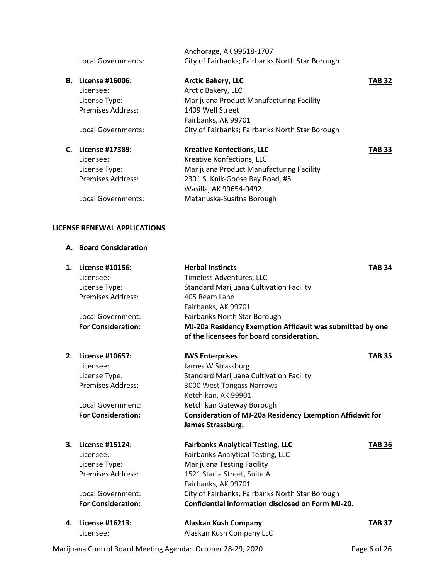|    | Local Governments:       | Anchorage, AK 99518-1707<br>City of Fairbanks; Fairbanks North Star Borough |        |
|----|--------------------------|-----------------------------------------------------------------------------|--------|
| В. | License #16006:          | <b>Arctic Bakery, LLC</b>                                                   | TAB 32 |
|    | Licensee:                | Arctic Bakery, LLC                                                          |        |
|    | License Type:            | Marijuana Product Manufacturing Facility                                    |        |
|    | <b>Premises Address:</b> | 1409 Well Street                                                            |        |
|    |                          | Fairbanks, AK 99701                                                         |        |
|    | Local Governments:       | City of Fairbanks; Fairbanks North Star Borough                             |        |
|    | C. License #17389:       | <b>Kreative Konfections, LLC</b>                                            | TAB 33 |
|    | Licensee:                | Kreative Konfections, LLC                                                   |        |
|    | License Type:            | Marijuana Product Manufacturing Facility                                    |        |
|    | <b>Premises Address:</b> | 2301 S. Knik-Goose Bay Road, #5                                             |        |
|    |                          | Wasilla, AK 99654-0492                                                      |        |
|    | Local Governments:       | Matanuska-Susitna Borough                                                   |        |
|    |                          |                                                                             |        |

### **LICENSE RENEWAL APPLICATIONS**

### **A. Board Consideration**

| 1. | License #10156:           | <b>Herbal Instincts</b>                                          | <b>TAB 34</b> |
|----|---------------------------|------------------------------------------------------------------|---------------|
|    | Licensee:                 | Timeless Adventures, LLC                                         |               |
|    | License Type:             | <b>Standard Marijuana Cultivation Facility</b>                   |               |
|    | <b>Premises Address:</b>  | 405 Ream Lane                                                    |               |
|    |                           | Fairbanks, AK 99701                                              |               |
|    | Local Government:         | Fairbanks North Star Borough                                     |               |
|    | <b>For Consideration:</b> | MJ-20a Residency Exemption Affidavit was submitted by one        |               |
|    |                           | of the licensees for board consideration.                        |               |
| 2. | License #10657:           | <b>JWS Enterprises</b>                                           | <b>TAB 35</b> |
|    | Licensee:                 | James W Strassburg                                               |               |
|    | License Type:             | <b>Standard Marijuana Cultivation Facility</b>                   |               |
|    | <b>Premises Address:</b>  | 3000 West Tongass Narrows                                        |               |
|    |                           | Ketchikan, AK 99901                                              |               |
|    | Local Government:         | Ketchikan Gateway Borough                                        |               |
|    | <b>For Consideration:</b> | <b>Consideration of MJ-20a Residency Exemption Affidavit for</b> |               |
|    |                           | James Strassburg.                                                |               |
| 3. | License #15124:           | <b>Fairbanks Analytical Testing, LLC</b>                         | <b>TAB 36</b> |
|    | Licensee:                 | <b>Fairbanks Analytical Testing, LLC</b>                         |               |
|    | License Type:             | <b>Marijuana Testing Facility</b>                                |               |
|    | <b>Premises Address:</b>  | 1521 Stacia Street, Suite A                                      |               |
|    |                           | Fairbanks, AK 99701                                              |               |
|    | Local Government:         | City of Fairbanks; Fairbanks North Star Borough                  |               |
|    | <b>For Consideration:</b> | Confidential information disclosed on Form MJ-20.                |               |
| 4. | License #16213:           | <b>Alaskan Kush Company</b>                                      | <b>TAB 37</b> |
|    | l icancaa:                | Alaskan Kush Company II C                                        |               |

Licensee: Alaskan Kush Company LLC

Marijuana Control Board Meeting Agenda: October 28-29, 2020 Page 6 of 26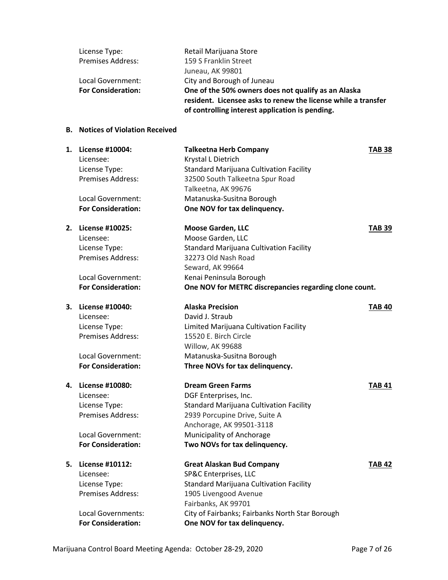| License Type:             | Retail Marijuana Store                                        |
|---------------------------|---------------------------------------------------------------|
| <b>Premises Address:</b>  | 159 S Franklin Street                                         |
|                           | Juneau, AK 99801                                              |
| Local Government:         | City and Borough of Juneau                                    |
| <b>For Consideration:</b> | One of the 50% owners does not qualify as an Alaska           |
|                           | resident. Licensee asks to renew the license while a transfer |
|                           | of controlling interest application is pending.               |

# **B. Notices of Violation Received**

|    | 1. License #10004:<br>Licensee: | <b>Talkeetna Herb Company</b><br>Krystal L Dietrich    | <b>TAB 38</b> |
|----|---------------------------------|--------------------------------------------------------|---------------|
|    | License Type:                   | <b>Standard Marijuana Cultivation Facility</b>         |               |
|    | Premises Address:               | 32500 South Talkeetna Spur Road                        |               |
|    |                                 | Talkeetna, AK 99676                                    |               |
|    | Local Government:               | Matanuska-Susitna Borough                              |               |
|    | <b>For Consideration:</b>       | One NOV for tax delinquency.                           |               |
|    | 2. License #10025:              | <b>Moose Garden, LLC</b>                               | <b>TAB 39</b> |
|    | Licensee:                       | Moose Garden, LLC                                      |               |
|    | License Type:                   | <b>Standard Marijuana Cultivation Facility</b>         |               |
|    | Premises Address:               | 32273 Old Nash Road                                    |               |
|    |                                 | Seward, AK 99664                                       |               |
|    | Local Government:               | Kenai Peninsula Borough                                |               |
|    | <b>For Consideration:</b>       | One NOV for METRC discrepancies regarding clone count. |               |
| 3. | License #10040:                 | <b>Alaska Precision</b>                                | <b>TAB 40</b> |
|    | Licensee:                       | David J. Straub                                        |               |
|    | License Type:                   | Limited Marijuana Cultivation Facility                 |               |
|    | Premises Address:               | 15520 E. Birch Circle                                  |               |
|    |                                 | Willow, AK 99688                                       |               |
|    | Local Government:               | Matanuska-Susitna Borough                              |               |
|    | <b>For Consideration:</b>       | Three NOVs for tax delinquency.                        |               |
| 4. | License #10080:                 | <b>Dream Green Farms</b>                               | <b>TAB 41</b> |
|    | Licensee:                       | DGF Enterprises, Inc.                                  |               |
|    | License Type:                   | <b>Standard Marijuana Cultivation Facility</b>         |               |
|    | Premises Address:               | 2939 Porcupine Drive, Suite A                          |               |
|    |                                 | Anchorage, AK 99501-3118                               |               |
|    | Local Government:               | Municipality of Anchorage                              |               |
|    | <b>For Consideration:</b>       | Two NOVs for tax delinquency.                          |               |
| 5. | License #10112:                 | <b>Great Alaskan Bud Company</b>                       | <b>TAB 42</b> |
|    | Licensee:                       | SP&C Enterprises, LLC                                  |               |
|    | License Type:                   | <b>Standard Marijuana Cultivation Facility</b>         |               |
|    | Premises Address:               | 1905 Livengood Avenue                                  |               |
|    |                                 | Fairbanks, AK 99701                                    |               |
|    | <b>Local Governments:</b>       | City of Fairbanks; Fairbanks North Star Borough        |               |
|    | <b>For Consideration:</b>       | One NOV for tax delinquency.                           |               |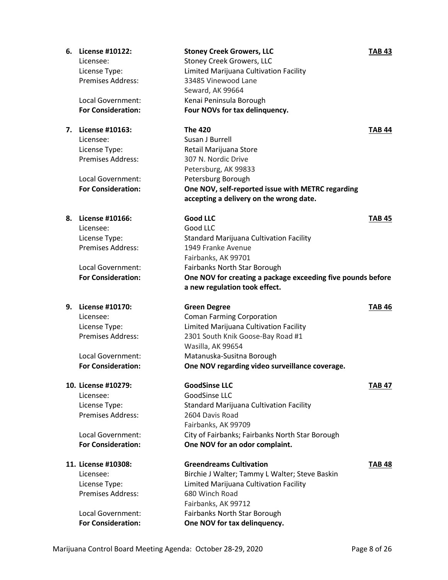|    | 6. License #10122:<br>Licensee:<br>License Type:<br>Premises Address:<br>Local Government:<br><b>For Consideration:</b>         | <b>Stoney Creek Growers, LLC</b><br><b>Stoney Creek Growers, LLC</b><br>Limited Marijuana Cultivation Facility<br>33485 Vinewood Lane<br>Seward, AK 99664<br>Kenai Peninsula Borough<br>Four NOVs for tax delinquency.                                     | <b>TAB 43</b> |
|----|---------------------------------------------------------------------------------------------------------------------------------|------------------------------------------------------------------------------------------------------------------------------------------------------------------------------------------------------------------------------------------------------------|---------------|
|    | 7. License #10163:<br>Licensee:<br>License Type:<br>Premises Address:<br>Local Government:<br><b>For Consideration:</b>         | <b>The 420</b><br>Susan J Burrell<br>Retail Marijuana Store<br>307 N. Nordic Drive<br>Petersburg, AK 99833<br>Petersburg Borough<br>One NOV, self-reported issue with METRC regarding<br>accepting a delivery on the wrong date.                           | <b>TAB 44</b> |
| 8. | <b>License #10166:</b><br>Licensee:<br>License Type:<br>Premises Address:<br>Local Government:<br><b>For Consideration:</b>     | <b>Good LLC</b><br>Good LLC<br><b>Standard Marijuana Cultivation Facility</b><br>1949 Franke Avenue<br>Fairbanks, AK 99701<br>Fairbanks North Star Borough<br>One NOV for creating a package exceeding five pounds before<br>a new regulation took effect. | <b>TAB 45</b> |
|    | 9. License #10170:<br>Licensee:<br>License Type:<br>Premises Address:<br>Local Government:<br><b>For Consideration:</b>         | <b>Green Degree</b><br><b>Coman Farming Corporation</b><br>Limited Marijuana Cultivation Facility<br>2301 South Knik Goose-Bay Road #1<br>Wasilla, AK 99654<br>Matanuska-Susitna Borough<br>One NOV regarding video surveillance coverage.                 | <b>TAB 46</b> |
|    | 10. License #10279:<br>Licensee:<br>License Type:<br><b>Premises Address:</b><br>Local Government:<br><b>For Consideration:</b> | <b>GoodSinse LLC</b><br>GoodSinse LLC<br>Standard Marijuana Cultivation Facility<br>2604 Davis Road<br>Fairbanks, AK 99709<br>City of Fairbanks; Fairbanks North Star Borough<br>One NOV for an odor complaint.                                            | TAB 47        |
|    | 11. License #10308:<br>Licensee:<br>License Type:<br><b>Premises Address:</b>                                                   | <b>Greendreams Cultivation</b><br>Birchie J Walter; Tammy L Walter; Steve Baskin<br>Limited Marijuana Cultivation Facility<br>680 Winch Road<br>Fairbanks, AK 99712<br>Fairbanks North Star Borough                                                        | <b>TAB 48</b> |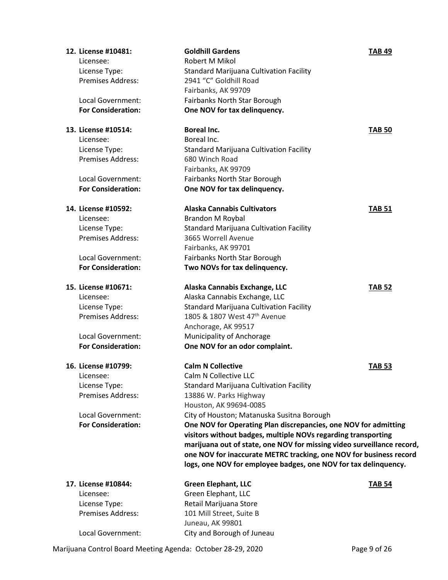| 12. License #10481:       | <b>Goldhill Gardens</b>                                                | <b>TAB 49</b> |
|---------------------------|------------------------------------------------------------------------|---------------|
| Licensee:                 | Robert M Mikol                                                         |               |
| License Type:             | <b>Standard Marijuana Cultivation Facility</b>                         |               |
| <b>Premises Address:</b>  | 2941 "C" Goldhill Road                                                 |               |
|                           | Fairbanks, AK 99709                                                    |               |
| Local Government:         | Fairbanks North Star Borough                                           |               |
| <b>For Consideration:</b> | One NOV for tax delinquency.                                           |               |
|                           |                                                                        |               |
| 13. License #10514:       | <b>Boreal Inc.</b>                                                     | <b>TAB 50</b> |
| Licensee:                 | Boreal Inc.                                                            |               |
| License Type:             | <b>Standard Marijuana Cultivation Facility</b>                         |               |
| <b>Premises Address:</b>  | 680 Winch Road                                                         |               |
|                           | Fairbanks, AK 99709                                                    |               |
| Local Government:         | Fairbanks North Star Borough                                           |               |
| <b>For Consideration:</b> | One NOV for tax delinquency.                                           |               |
| 14. License #10592:       | <b>Alaska Cannabis Cultivators</b>                                     | <b>TAB 51</b> |
| Licensee:                 | <b>Brandon M Roybal</b>                                                |               |
| License Type:             | <b>Standard Marijuana Cultivation Facility</b>                         |               |
| Premises Address:         | 3665 Worrell Avenue                                                    |               |
|                           | Fairbanks, AK 99701                                                    |               |
| Local Government:         | Fairbanks North Star Borough                                           |               |
| <b>For Consideration:</b> | Two NOVs for tax delinquency.                                          |               |
| 15. License #10671:       | Alaska Cannabis Exchange, LLC                                          | <b>TAB 52</b> |
| Licensee:                 | Alaska Cannabis Exchange, LLC                                          |               |
| License Type:             | <b>Standard Marijuana Cultivation Facility</b>                         |               |
| <b>Premises Address:</b>  | 1805 & 1807 West 47 <sup>th</sup> Avenue                               |               |
|                           | Anchorage, AK 99517                                                    |               |
| Local Government:         | Municipality of Anchorage                                              |               |
| <b>For Consideration:</b> | One NOV for an odor complaint.                                         |               |
| 16. License #10799:       | <b>Calm N Collective</b>                                               | <b>TAB 53</b> |
| Licensee:                 | Calm N Collective LLC                                                  |               |
| License Type:             | Standard Marijuana Cultivation Facility                                |               |
| Premises Address:         | 13886 W. Parks Highway                                                 |               |
|                           | Houston, AK 99694-0085                                                 |               |
| Local Government:         | City of Houston; Matanuska Susitna Borough                             |               |
| <b>For Consideration:</b> | One NOV for Operating Plan discrepancies, one NOV for admitting        |               |
|                           | visitors without badges, multiple NOVs regarding transporting          |               |
|                           | marijuana out of state, one NOV for missing video surveillance record, |               |
|                           | one NOV for inaccurate METRC tracking, one NOV for business record     |               |
|                           | logs, one NOV for employee badges, one NOV for tax delinquency.        |               |
|                           |                                                                        |               |
| 17. License #10844:       | <b>Green Elephant, LLC</b>                                             | <b>TAB 54</b> |
| Licensee:                 | Green Elephant, LLC                                                    |               |
| License Type:             | Retail Marijuana Store                                                 |               |
| Premises Address:         | 101 Mill Street, Suite B                                               |               |
|                           | Juneau, AK 99801                                                       |               |
| Local Government:         | City and Borough of Juneau                                             |               |

Marijuana Control Board Meeting Agenda: October 28-29, 2020 Page 9 of 26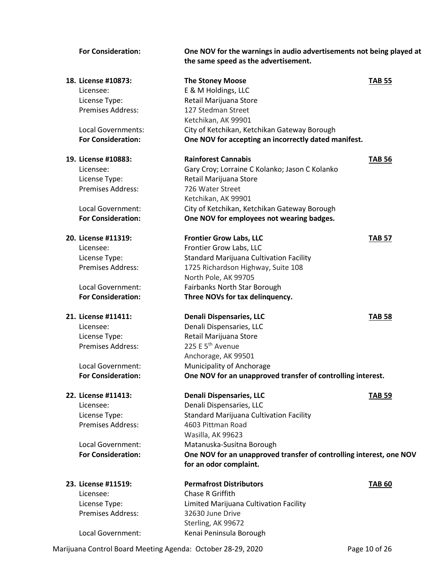| <b>For Consideration:</b> | One NOV for the warnings in audio advertisements not being played at<br>the same speed as the advertisement. |               |
|---------------------------|--------------------------------------------------------------------------------------------------------------|---------------|
| 18. License #10873:       | <b>The Stoney Moose</b>                                                                                      | <b>TAB 55</b> |
| Licensee:                 | E & M Holdings, LLC                                                                                          |               |
| License Type:             | Retail Marijuana Store                                                                                       |               |
| Premises Address:         | 127 Stedman Street                                                                                           |               |
|                           | Ketchikan, AK 99901                                                                                          |               |
| Local Governments:        | City of Ketchikan, Ketchikan Gateway Borough                                                                 |               |
| <b>For Consideration:</b> | One NOV for accepting an incorrectly dated manifest.                                                         |               |
| 19. License #10883:       | <b>Rainforest Cannabis</b>                                                                                   | <b>TAB 56</b> |
| Licensee:                 | Gary Croy; Lorraine C Kolanko; Jason C Kolanko                                                               |               |
| License Type:             | Retail Marijuana Store                                                                                       |               |
| <b>Premises Address:</b>  | 726 Water Street                                                                                             |               |
|                           | Ketchikan, AK 99901                                                                                          |               |
| Local Government:         | City of Ketchikan, Ketchikan Gateway Borough                                                                 |               |
| <b>For Consideration:</b> | One NOV for employees not wearing badges.                                                                    |               |
| 20. License #11319:       | <b>Frontier Grow Labs, LLC</b>                                                                               | <b>TAB 57</b> |
| Licensee:                 | Frontier Grow Labs, LLC                                                                                      |               |
| License Type:             | <b>Standard Marijuana Cultivation Facility</b>                                                               |               |
| <b>Premises Address:</b>  | 1725 Richardson Highway, Suite 108                                                                           |               |
|                           | North Pole, AK 99705                                                                                         |               |
| Local Government:         | Fairbanks North Star Borough                                                                                 |               |
| <b>For Consideration:</b> | Three NOVs for tax delinquency.                                                                              |               |
| 21. License #11411:       | <b>Denali Dispensaries, LLC</b>                                                                              | <b>TAB 58</b> |
| Licensee:                 | Denali Dispensaries, LLC                                                                                     |               |
| License Type:             | Retail Marijuana Store                                                                                       |               |
| Premises Address:         | 225 E 5 <sup>th</sup> Avenue                                                                                 |               |
|                           | Anchorage, AK 99501                                                                                          |               |
| Local Government:         | Municipality of Anchorage                                                                                    |               |
| <b>For Consideration:</b> | One NOV for an unapproved transfer of controlling interest.                                                  |               |
| 22. License #11413:       | <b>Denali Dispensaries, LLC</b>                                                                              | <b>TAB 59</b> |
| Licensee:                 | Denali Dispensaries, LLC                                                                                     |               |
| License Type:             | Standard Marijuana Cultivation Facility                                                                      |               |
| Premises Address:         | 4603 Pittman Road                                                                                            |               |
|                           | Wasilla, AK 99623                                                                                            |               |
| Local Government:         | Matanuska-Susitna Borough                                                                                    |               |
| <b>For Consideration:</b> | One NOV for an unapproved transfer of controlling interest, one NOV                                          |               |
|                           | for an odor complaint.                                                                                       |               |
| 23. License #11519:       | <b>Permafrost Distributors</b>                                                                               | <b>TAB 60</b> |
| Licensee:                 | Chase R Griffith                                                                                             |               |
| License Type:             | Limited Marijuana Cultivation Facility                                                                       |               |
| Premises Address:         | 32630 June Drive                                                                                             |               |
|                           | Sterling, AK 99672                                                                                           |               |
| Local Government:         | Kenai Peninsula Borough                                                                                      |               |

Marijuana Control Board Meeting Agenda: October 28-29, 2020 Page 10 of 26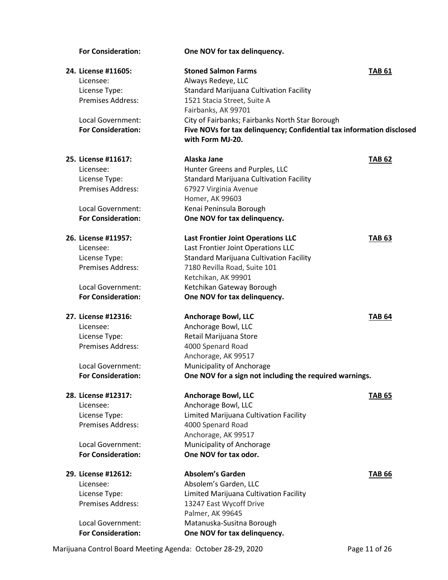# **For Consideration: One NOV for tax delinquency. 24. License #11605: Stoned Salmon Farms TAB 61** Licensee: Always Redeye, LLC License Type: Standard Marijuana Cultivation Facility Premises Address: 1521 Stacia Street, Suite A Fairbanks, AK 99701 Local Government: City of Fairbanks; Fairbanks North Star Borough **For Consideration: Five NOVs for tax delinquency; Confidential tax information disclosed with Form MJ-20. 25. License #11617: Alaska Jane TAB 62** Licensee: Hunter Greens and Purples, LLC License Type: Standard Marijuana Cultivation Facility Premises Address: 67927 Virginia Avenue Homer, AK 99603 Local Government: Kenai Peninsula Borough **For Consideration: One NOV for tax delinquency. 26. License #11957: Last Frontier Joint Operations LLC TAB 63** Licensee: Last Frontier Joint Operations LLC License Type: Standard Marijuana Cultivation Facility Premises Address: 7180 Revilla Road, Suite 101 Ketchikan, AK 99901 Local Government: Ketchikan Gateway Borough **For Consideration: One NOV for tax delinquency. 27. License #12316: Anchorage Bowl, LLC TAB 64** Licensee: Anchorage Bowl, LLC License Type: Retail Marijuana Store Premises Address: 4000 Spenard Road Anchorage, AK 99517 Local Government: Municipality of Anchorage **For Consideration: One NOV for a sign not including the required warnings. 28. License #12317: Anchorage Bowl, LLC TAB 65** Licensee: Anchorage Bowl, LLC License Type: Limited Marijuana Cultivation Facility Premises Address: 4000 Spenard Road Anchorage, AK 99517 Local Government: Municipality of Anchorage **For Consideration: One NOV for tax odor. 29. License #12612: Absolem's Garden TAB 66** Licensee: Absolem's Garden, LLC License Type: Limited Marijuana Cultivation Facility Premises Address: 13247 East Wycoff Drive Palmer, AK 99645 Local Government: Matanuska-Susitna Borough **For Consideration: One NOV for tax delinquency.**

Marijuana Control Board Meeting Agenda: October 28-29, 2020 Page 11 of 26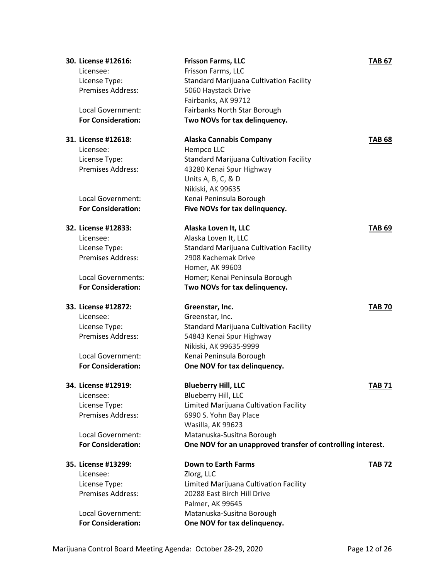| 30. License #12616:<br>Licensee:<br>License Type: | <b>Frisson Farms, LLC</b><br>Frisson Farms, LLC<br><b>Standard Marijuana Cultivation Facility</b> | <b>TAB 67</b> |
|---------------------------------------------------|---------------------------------------------------------------------------------------------------|---------------|
| <b>Premises Address:</b>                          | 5060 Haystack Drive<br>Fairbanks, AK 99712                                                        |               |
| Local Government:<br><b>For Consideration:</b>    | Fairbanks North Star Borough<br>Two NOVs for tax delinquency.                                     |               |
| 31. License #12618:                               | <b>Alaska Cannabis Company</b>                                                                    | <b>TAB 68</b> |
| Licensee:                                         | Hempco LLC                                                                                        |               |
| License Type:<br><b>Premises Address:</b>         | <b>Standard Marijuana Cultivation Facility</b><br>43280 Kenai Spur Highway                        |               |
|                                                   | Units A, B, C, & D                                                                                |               |
|                                                   | Nikiski, AK 99635                                                                                 |               |
| Local Government:                                 | Kenai Peninsula Borough                                                                           |               |
| <b>For Consideration:</b>                         | Five NOVs for tax delinquency.                                                                    |               |
| 32. License #12833:                               | Alaska Loven It, LLC                                                                              | <b>TAB 69</b> |
| Licensee:                                         | Alaska Loven It, LLC                                                                              |               |
| License Type:                                     | <b>Standard Marijuana Cultivation Facility</b>                                                    |               |
| Premises Address:                                 | 2908 Kachemak Drive                                                                               |               |
|                                                   | Homer, AK 99603                                                                                   |               |
| Local Governments:<br><b>For Consideration:</b>   | Homer; Kenai Peninsula Borough<br>Two NOVs for tax delinquency.                                   |               |
| 33. License #12872:                               | Greenstar, Inc.                                                                                   | <b>TAB 70</b> |
| Licensee:                                         | Greenstar, Inc.                                                                                   |               |
| License Type:                                     | <b>Standard Marijuana Cultivation Facility</b>                                                    |               |
| <b>Premises Address:</b>                          | 54843 Kenai Spur Highway                                                                          |               |
|                                                   | Nikiski, AK 99635-9999                                                                            |               |
| Local Government:                                 | Kenai Peninsula Borough                                                                           |               |
| <b>For Consideration:</b>                         | One NOV for tax delinquency.                                                                      |               |
| 34. License #12919:                               | <b>Blueberry Hill, LLC</b>                                                                        | <b>TAB 71</b> |
| Licensee:                                         | Blueberry Hill, LLC                                                                               |               |
| License Type:                                     | Limited Marijuana Cultivation Facility                                                            |               |
| <b>Premises Address:</b>                          | 6990 S. Yohn Bay Place                                                                            |               |
|                                                   | Wasilla, AK 99623                                                                                 |               |
| Local Government:<br><b>For Consideration:</b>    | Matanuska-Susitna Borough                                                                         |               |
|                                                   | One NOV for an unapproved transfer of controlling interest.                                       |               |
| 35. License #13299:                               | <b>Down to Earth Farms</b>                                                                        | <b>TAB 72</b> |
| Licensee:                                         | Zlorg, LLC                                                                                        |               |
| License Type:                                     | Limited Marijuana Cultivation Facility                                                            |               |
| Premises Address:                                 | 20288 East Birch Hill Drive                                                                       |               |
| Local Government:                                 | Palmer, AK 99645<br>Matanuska-Susitna Borough                                                     |               |
| <b>For Consideration:</b>                         | One NOV for tax delinquency.                                                                      |               |
|                                                   |                                                                                                   |               |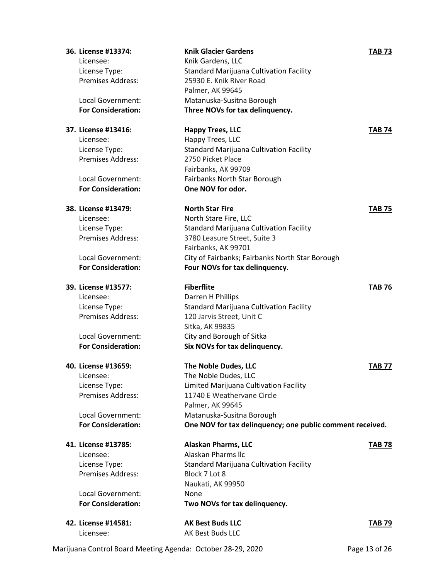| 36. License #13374:       | <b>Knik Glacier Gardens</b>                               | <b>TAB 73</b> |
|---------------------------|-----------------------------------------------------------|---------------|
| Licensee:                 | Knik Gardens, LLC                                         |               |
| License Type:             | <b>Standard Marijuana Cultivation Facility</b>            |               |
| Premises Address:         | 25930 E. Knik River Road                                  |               |
|                           | Palmer, AK 99645                                          |               |
| Local Government:         | Matanuska-Susitna Borough                                 |               |
| <b>For Consideration:</b> | Three NOVs for tax delinquency.                           |               |
| 37. License #13416:       | <b>Happy Trees, LLC</b>                                   | <b>TAB 74</b> |
| Licensee:                 | Happy Trees, LLC                                          |               |
| License Type:             | Standard Marijuana Cultivation Facility                   |               |
| <b>Premises Address:</b>  | 2750 Picket Place                                         |               |
|                           | Fairbanks, AK 99709                                       |               |
| Local Government:         | Fairbanks North Star Borough                              |               |
| <b>For Consideration:</b> | One NOV for odor.                                         |               |
| 38. License #13479:       | <b>North Star Fire</b>                                    | <b>TAB 75</b> |
| Licensee:                 | North Stare Fire, LLC                                     |               |
| License Type:             | <b>Standard Marijuana Cultivation Facility</b>            |               |
| Premises Address:         | 3780 Leasure Street, Suite 3                              |               |
|                           | Fairbanks, AK 99701                                       |               |
| Local Government:         | City of Fairbanks; Fairbanks North Star Borough           |               |
| <b>For Consideration:</b> | Four NOVs for tax delinquency.                            |               |
| 39. License #13577:       | <b>Fiberflite</b>                                         | <b>TAB 76</b> |
| Licensee:                 | Darren H Phillips                                         |               |
| License Type:             | <b>Standard Marijuana Cultivation Facility</b>            |               |
| <b>Premises Address:</b>  | 120 Jarvis Street, Unit C                                 |               |
|                           | Sitka, AK 99835                                           |               |
| Local Government:         | City and Borough of Sitka                                 |               |
| <b>For Consideration:</b> | Six NOVs for tax delinquency.                             |               |
| 40. License #13659:       | The Noble Dudes, LLC                                      | <b>TAB 77</b> |
| Licensee:                 | The Noble Dudes, LLC                                      |               |
| License Type:             | Limited Marijuana Cultivation Facility                    |               |
| <b>Premises Address:</b>  | 11740 E Weathervane Circle                                |               |
|                           | Palmer, AK 99645                                          |               |
| Local Government:         | Matanuska-Susitna Borough                                 |               |
| <b>For Consideration:</b> | One NOV for tax delinquency; one public comment received. |               |
| 41. License #13785:       | <b>Alaskan Pharms, LLC</b>                                | <b>TAB 78</b> |
| Licensee:                 | Alaskan Pharms IIc                                        |               |
| License Type:             | <b>Standard Marijuana Cultivation Facility</b>            |               |
| <b>Premises Address:</b>  | Block 7 Lot 8                                             |               |
|                           | Naukati, AK 99950                                         |               |
| Local Government:         | None                                                      |               |
| <b>For Consideration:</b> | Two NOVs for tax delinquency.                             |               |
| 42. License #14581:       | <b>AK Best Buds LLC</b>                                   | <b>TAB 79</b> |
| Licensee:                 | AK Best Buds LLC                                          |               |

Marijuana Control Board Meeting Agenda: October 28-29, 2020 Page 13 of 26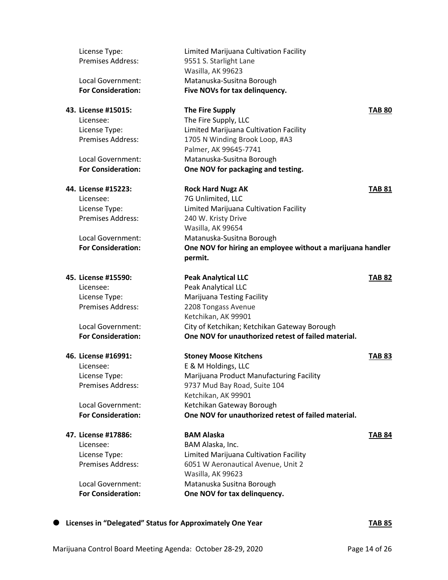| License Type:                                  | Limited Marijuana Cultivation Facility                                                              |               |
|------------------------------------------------|-----------------------------------------------------------------------------------------------------|---------------|
| <b>Premises Address:</b>                       | 9551 S. Starlight Lane<br>Wasilla, AK 99623                                                         |               |
| Local Government:                              | Matanuska-Susitna Borough                                                                           |               |
| <b>For Consideration:</b>                      | Five NOVs for tax delinquency.                                                                      |               |
| 43. License #15015:                            | <b>The Fire Supply</b>                                                                              | <b>TAB 80</b> |
| Licensee:                                      | The Fire Supply, LLC                                                                                |               |
| License Type:                                  | Limited Marijuana Cultivation Facility                                                              |               |
| <b>Premises Address:</b>                       | 1705 N Winding Brook Loop, #A3                                                                      |               |
| Local Government:                              | Palmer, AK 99645-7741<br>Matanuska-Susitna Borough                                                  |               |
| <b>For Consideration:</b>                      | One NOV for packaging and testing.                                                                  |               |
| 44. License #15223:                            | <b>Rock Hard Nugz AK</b>                                                                            | <b>TAB 81</b> |
| Licensee:                                      | 7G Unlimited, LLC                                                                                   |               |
| License Type:                                  | Limited Marijuana Cultivation Facility                                                              |               |
| Premises Address:                              | 240 W. Kristy Drive                                                                                 |               |
|                                                | Wasilla, AK 99654                                                                                   |               |
| Local Government:                              | Matanuska-Susitna Borough                                                                           |               |
| <b>For Consideration:</b>                      | One NOV for hiring an employee without a marijuana handler                                          |               |
|                                                | permit.                                                                                             |               |
| 45. License #15590:                            | <b>Peak Analytical LLC</b>                                                                          | <b>TAB 82</b> |
| Licensee:                                      | Peak Analytical LLC                                                                                 |               |
| License Type:                                  | Marijuana Testing Facility                                                                          |               |
| <b>Premises Address:</b>                       | 2208 Tongass Avenue                                                                                 |               |
|                                                | Ketchikan, AK 99901                                                                                 |               |
| Local Government:<br><b>For Consideration:</b> | City of Ketchikan; Ketchikan Gateway Borough<br>One NOV for unauthorized retest of failed material. |               |
|                                                |                                                                                                     |               |
| 46. License #16991:                            | <b>Stoney Moose Kitchens</b>                                                                        | <b>TAB 83</b> |
| Licensee:                                      | E & M Holdings, LLC                                                                                 |               |
| License Type:                                  | Marijuana Product Manufacturing Facility                                                            |               |
| Premises Address:                              | 9737 Mud Bay Road, Suite 104<br>Ketchikan, AK 99901                                                 |               |
| Local Government:                              | Ketchikan Gateway Borough                                                                           |               |
| <b>For Consideration:</b>                      | One NOV for unauthorized retest of failed material.                                                 |               |
|                                                |                                                                                                     |               |
| 47. License #17886:                            | <b>BAM Alaska</b>                                                                                   | <b>TAB 84</b> |
| Licensee:                                      | BAM Alaska, Inc.                                                                                    |               |
| License Type:                                  | Limited Marijuana Cultivation Facility                                                              |               |
| <b>Premises Address:</b>                       | 6051 W Aeronautical Avenue, Unit 2                                                                  |               |
|                                                | Wasilla, AK 99623                                                                                   |               |
| Local Government:<br><b>For Consideration:</b> | Matanuska Susitna Borough<br>One NOV for tax delinquency.                                           |               |
|                                                |                                                                                                     |               |
|                                                |                                                                                                     |               |

**Licenses in "Delegated" Status for Approximately One Year TAB 85**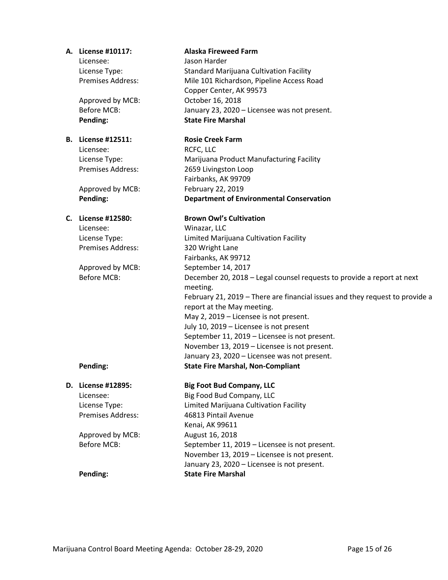Licensee: Jason Harder

Approved by MCB: October 16, 2018

### **B. License #12511: Rosie Creek Farm**

Licensee: RCFC, LLC

Approved by MCB: February 22, 2019

Licensee: Winazar, LLC Premises Address: 320 Wright Lane

# **D. License #12895: Big Foot Bud Company, LLC** Licensee: Big Food Bud Company, LLC License Type: Limited Marijuana Cultivation Facility Premises Address: 46813 Pintail Avenue Kenai, AK 99611 Approved by MCB: August 16, 2018 Before MCB: September 11, 2019 – Licensee is not present.

### **A. License #10117: Alaska Fireweed Farm**

License Type: Standard Marijuana Cultivation Facility Premises Address: Mile 101 Richardson, Pipeline Access Road Copper Center, AK 99573 Before MCB: January 23, 2020 – Licensee was not present. **Pending: State Fire Marshal**

License Type: Marijuana Product Manufacturing Facility Premises Address: 2659 Livingston Loop Fairbanks, AK 99709 **Pending: Department of Environmental Conservation**

### **C. License #12580: Brown Owl's Cultivation**

License Type: Limited Marijuana Cultivation Facility Fairbanks, AK 99712 Approved by MCB: September 14, 2017 Before MCB: December 20, 2018 – Legal counsel requests to provide a report at next meeting. February 21, 2019 – There are financial issues and they request to provide a report at the May meeting. May 2, 2019 – Licensee is not present. July 10, 2019 – Licensee is not present September 11, 2019 – Licensee is not present. November 13, 2019 – Licensee is not present. January 23, 2020 – Licensee was not present. **Pending: State Fire Marshal, Non-Compliant**

November 13, 2019 – Licensee is not present. January 23, 2020 – Licensee is not present. **Pending: State Fire Marshal**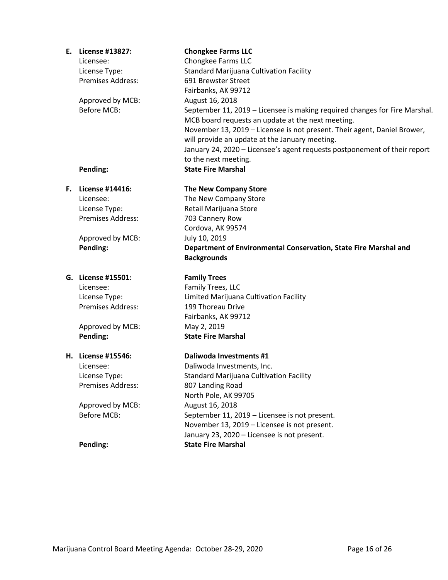| Е. | License #13827:          | <b>Chongkee Farms LLC</b>                                                  |
|----|--------------------------|----------------------------------------------------------------------------|
|    | Licensee:                | Chongkee Farms LLC                                                         |
|    | License Type:            | <b>Standard Marijuana Cultivation Facility</b>                             |
|    | <b>Premises Address:</b> | 691 Brewster Street                                                        |
|    |                          | Fairbanks, AK 99712                                                        |
|    | Approved by MCB:         | August 16, 2018                                                            |
|    | <b>Before MCB:</b>       | September 11, 2019 - Licensee is making required changes for Fire Marshal. |
|    |                          | MCB board requests an update at the next meeting.                          |
|    |                          | November 13, 2019 - Licensee is not present. Their agent, Daniel Brower,   |
|    |                          | will provide an update at the January meeting.                             |
|    |                          | January 24, 2020 - Licensee's agent requests postponement of their report  |
|    |                          | to the next meeting.                                                       |
|    | Pending:                 | <b>State Fire Marshal</b>                                                  |
| Е. | License #14416:          | <b>The New Company Store</b>                                               |
|    | Licensee:                | The New Company Store                                                      |
|    | License Type:            | Retail Marijuana Store                                                     |
|    | <b>Premises Address:</b> | 703 Cannery Row                                                            |
|    |                          | Cordova, AK 99574                                                          |
|    | Approved by MCB:         | July 10, 2019                                                              |
|    | Pending:                 | Department of Environmental Conservation, State Fire Marshal and           |
|    |                          | <b>Backgrounds</b>                                                         |
|    | G. License #15501:       | <b>Family Trees</b>                                                        |
|    | Licensee:                | Family Trees, LLC                                                          |
|    | License Type:            | Limited Marijuana Cultivation Facility                                     |
|    | <b>Premises Address:</b> | 199 Thoreau Drive                                                          |
|    |                          | Fairbanks, AK 99712                                                        |
|    | Approved by MCB:         | May 2, 2019                                                                |
|    | Pending:                 | <b>State Fire Marshal</b>                                                  |
|    | H. License #15546:       | Daliwoda Investments #1                                                    |
|    | Licensee:                | Daliwoda Investments, Inc.                                                 |
|    | License Type:            | <b>Standard Marijuana Cultivation Facility</b>                             |
|    | Premises Address:        | 807 Landing Road                                                           |
|    |                          | North Pole, AK 99705                                                       |
|    | Approved by MCB:         | August 16, 2018                                                            |
|    | <b>Before MCB:</b>       | September 11, 2019 - Licensee is not present.                              |
|    |                          | November 13, 2019 - Licensee is not present.                               |
|    |                          | January 23, 2020 - Licensee is not present.                                |
|    | Pending:                 | <b>State Fire Marshal</b>                                                  |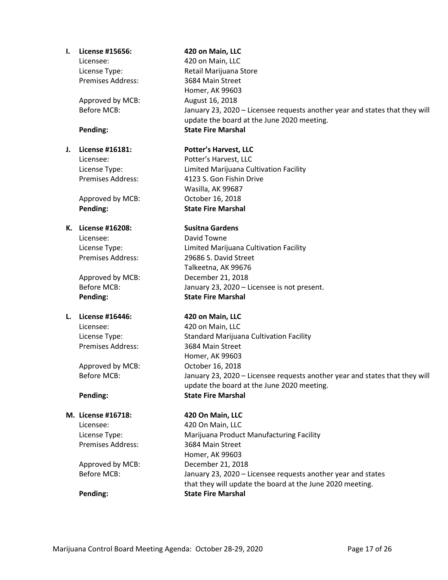### **I. License #15656: 420 on Main, LLC**

Licensee: 420 on Main, LLC Premises Address: 3684 Main Street

Approved by MCB: August 16, 2018

### **K. License #16208: Susitna Gardens**

Licensee: David Towne

**Pending: State Fire Marshal**

# **L. License #16446: 420 on Main, LLC**

Licensee: 420 on Main, LLC Premises Address: 3684 Main Street

Approved by MCB: October 16, 2018

### **M. License #16718: 420 On Main, LLC**

Licensee: 420 On Main, LLC Premises Address: 3684 Main Street

License Type: Retail Marijuana Store Homer, AK 99603 Before MCB: January 23, 2020 – Licensee requests another year and states that they will update the board at the June 2020 meeting. **Pending: State Fire Marshal**

# **J. License #16181: Potter's Harvest, LLC**

Licensee: Potter's Harvest, LLC License Type: Limited Marijuana Cultivation Facility Premises Address: 4123 S. Gon Fishin Drive Wasilla, AK 99687 Approved by MCB: October 16, 2018 **Pending: State Fire Marshal**

License Type: Limited Marijuana Cultivation Facility Premises Address: 29686 S. David Street Talkeetna, AK 99676 Approved by MCB: December 21, 2018 Before MCB: January 23, 2020 – Licensee is not present.

License Type: Standard Marijuana Cultivation Facility Homer, AK 99603 Before MCB: January 23, 2020 – Licensee requests another year and states that they will update the board at the June 2020 meeting. **Pending: State Fire Marshal**

License Type: Marijuana Product Manufacturing Facility Homer, AK 99603 Approved by MCB: December 21, 2018 Before MCB: January 23, 2020 – Licensee requests another year and states that they will update the board at the June 2020 meeting. **Pending: State Fire Marshal**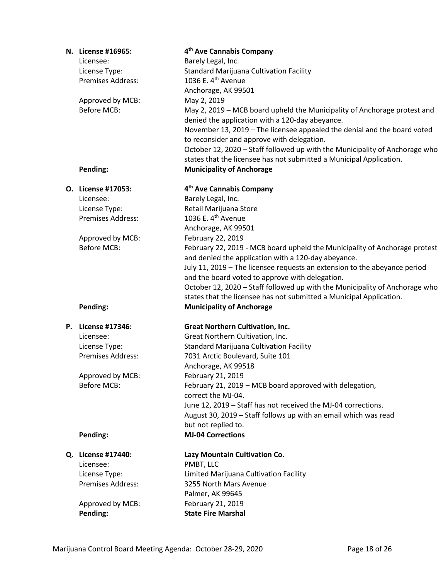| N. License #16965:       | 4 <sup>th</sup> Ave Cannabis Company                                                                                        |
|--------------------------|-----------------------------------------------------------------------------------------------------------------------------|
| Licensee:                | Barely Legal, Inc.                                                                                                          |
| License Type:            | <b>Standard Marijuana Cultivation Facility</b>                                                                              |
| <b>Premises Address:</b> | 1036 E. 4 <sup>th</sup> Avenue                                                                                              |
|                          | Anchorage, AK 99501                                                                                                         |
| Approved by MCB:         | May 2, 2019                                                                                                                 |
| <b>Before MCB:</b>       | May 2, 2019 - MCB board upheld the Municipality of Anchorage protest and<br>denied the application with a 120-day abeyance. |
|                          | November 13, 2019 - The licensee appealed the denial and the board voted                                                    |
|                          | to reconsider and approve with delegation.                                                                                  |
|                          | October 12, 2020 - Staff followed up with the Municipality of Anchorage who                                                 |
|                          | states that the licensee has not submitted a Municipal Application.                                                         |
| Pending:                 | <b>Municipality of Anchorage</b>                                                                                            |
| O. License #17053:       | 4 <sup>th</sup> Ave Cannabis Company                                                                                        |
| Licensee:                | Barely Legal, Inc.                                                                                                          |
| License Type:            | Retail Marijuana Store                                                                                                      |
| Premises Address:        | 1036 E. 4 <sup>th</sup> Avenue                                                                                              |
|                          | Anchorage, AK 99501                                                                                                         |
| Approved by MCB:         | February 22, 2019                                                                                                           |
| <b>Before MCB:</b>       | February 22, 2019 - MCB board upheld the Municipality of Anchorage protest                                                  |
|                          | and denied the application with a 120-day abeyance.                                                                         |
|                          |                                                                                                                             |
|                          | July 11, 2019 - The licensee requests an extension to the abeyance period                                                   |
|                          | and the board voted to approve with delegation.                                                                             |
|                          | October 12, 2020 - Staff followed up with the Municipality of Anchorage who                                                 |
|                          | states that the licensee has not submitted a Municipal Application.                                                         |
| Pending:                 | <b>Municipality of Anchorage</b>                                                                                            |
| P. License #17346:       | <b>Great Northern Cultivation, Inc.</b>                                                                                     |
| Licensee:                | Great Northern Cultivation, Inc.                                                                                            |
| License Type:            | <b>Standard Marijuana Cultivation Facility</b>                                                                              |
| <b>Premises Address:</b> | 7031 Arctic Boulevard, Suite 101                                                                                            |
|                          | Anchorage, AK 99518                                                                                                         |
| Approved by MCB:         | February 21, 2019                                                                                                           |
| Before MCB:              | February 21, 2019 - MCB board approved with delegation,                                                                     |
|                          | correct the MJ-04.                                                                                                          |
|                          | June 12, 2019 - Staff has not received the MJ-04 corrections.                                                               |
|                          | August 30, 2019 - Staff follows up with an email which was read                                                             |
|                          | but not replied to.                                                                                                         |
| Pending:                 | <b>MJ-04 Corrections</b>                                                                                                    |
|                          |                                                                                                                             |
| Q. License #17440:       | Lazy Mountain Cultivation Co.                                                                                               |
| Licensee:                | PMBT, LLC                                                                                                                   |
| License Type:            | Limited Marijuana Cultivation Facility                                                                                      |
| <b>Premises Address:</b> | 3255 North Mars Avenue                                                                                                      |
|                          |                                                                                                                             |
|                          | Palmer, AK 99645                                                                                                            |
| Approved by MCB:         | February 21, 2019                                                                                                           |
| Pending:                 | <b>State Fire Marshal</b>                                                                                                   |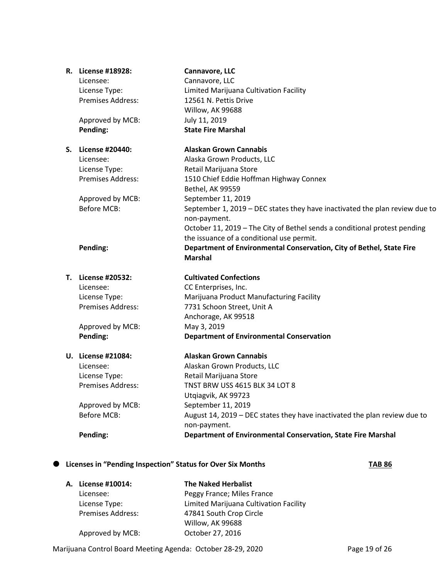|    | R. License #18928:       | Cannavore, LLC                                                                              |
|----|--------------------------|---------------------------------------------------------------------------------------------|
|    | Licensee:                | Cannavore, LLC                                                                              |
|    | License Type:            | Limited Marijuana Cultivation Facility                                                      |
|    | Premises Address:        | 12561 N. Pettis Drive                                                                       |
|    |                          | Willow, AK 99688                                                                            |
|    | Approved by MCB:         | July 11, 2019                                                                               |
|    | Pending:                 | <b>State Fire Marshal</b>                                                                   |
| S. | License #20440:          | <b>Alaskan Grown Cannabis</b>                                                               |
|    | Licensee:                | Alaska Grown Products, LLC                                                                  |
|    | License Type:            | Retail Marijuana Store                                                                      |
|    | Premises Address:        | 1510 Chief Eddie Hoffman Highway Connex                                                     |
|    |                          | Bethel, AK 99559                                                                            |
|    | Approved by MCB:         | September 11, 2019                                                                          |
|    | <b>Before MCB:</b>       | September 1, 2019 – DEC states they have inactivated the plan review due to<br>non-payment. |
|    |                          | October 11, 2019 - The City of Bethel sends a conditional protest pending                   |
|    |                          | the issuance of a conditional use permit.                                                   |
|    | Pending:                 | Department of Environmental Conservation, City of Bethel, State Fire                        |
|    |                          | <b>Marshal</b>                                                                              |
|    | T. License #20532:       | <b>Cultivated Confections</b>                                                               |
|    | Licensee:                | CC Enterprises, Inc.                                                                        |
|    | License Type:            | Marijuana Product Manufacturing Facility                                                    |
|    | <b>Premises Address:</b> | 7731 Schoon Street, Unit A                                                                  |
|    |                          | Anchorage, AK 99518                                                                         |
|    | Approved by MCB:         | May 3, 2019                                                                                 |
|    | Pending:                 | <b>Department of Environmental Conservation</b>                                             |
|    | U. License #21084:       | <b>Alaskan Grown Cannabis</b>                                                               |
|    | Licensee:                | Alaskan Grown Products, LLC                                                                 |
|    | License Type:            | Retail Marijuana Store                                                                      |
|    | <b>Premises Address:</b> | TNST BRW USS 4615 BLK 34 LOT 8                                                              |
|    |                          | Utqiagvik, AK 99723                                                                         |
|    | Approved by MCB:         | September 11, 2019                                                                          |
|    | <b>Before MCB:</b>       | August 14, 2019 - DEC states they have inactivated the plan review due to                   |
|    |                          | non-payment.                                                                                |
|    | Pending:                 | Department of Environmental Conservation, State Fire Marshal                                |
|    |                          |                                                                                             |

# **Licenses in "Pending Inspection" Status for Over Six Months TAB 86**

| A. License #10014: | <b>The Naked Herbalist</b>             |
|--------------------|----------------------------------------|
| Licensee:          | Peggy France; Miles France             |
| License Type:      | Limited Marijuana Cultivation Facility |
| Premises Address:  | 47841 South Crop Circle                |
|                    | Willow, AK 99688                       |
| Approved by MCB:   | October 27, 2016                       |

Marijuana Control Board Meeting Agenda: October 28-29, 2020 Page 19 of 26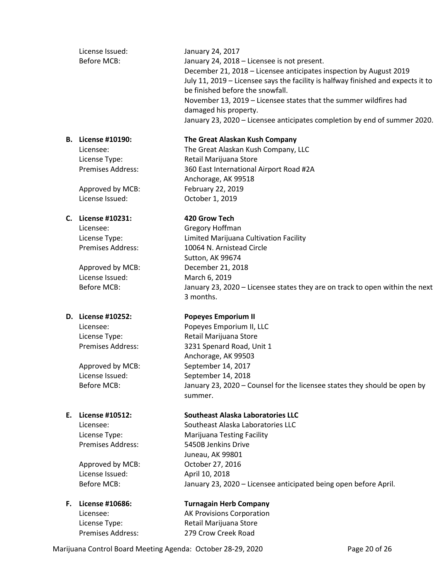License Issued: January 24, 2017 Before MCB: January 24, 2018 – Licensee is not present.

December 21, 2018 – Licensee anticipates inspection by August 2019 July 11, 2019 – Licensee says the facility is halfway finished and expects it to be finished before the snowfall. November 13, 2019 – Licensee states that the summer wildfires had damaged his property. January 23, 2020 – Licensee anticipates completion by end of summer 2020.

### **B. License #10190: The Great Alaskan Kush Company**

Licensee: The Great Alaskan Kush Company, LLC License Type: Retail Marijuana Store Premises Address: 360 East International Airport Road #2A Anchorage, AK 99518 Approved by MCB: February 22, 2019

License Issued: October 1, 2019

### **C. License #10231: 420 Grow Tech**

Licensee: Gregory Hoffman

License Issued: March 6, 2019

Approved by MCB: October 27, 2016 License Issued: April 10, 2018

Licensee: AK Provisions Corporation License Type: Retail Marijuana Store Premises Address: 279 Crow Creek Road

License Type: Limited Marijuana Cultivation Facility Premises Address: 10064 N. Arnistead Circle Sutton, AK 99674 Approved by MCB: December 21, 2018 Before MCB: January 23, 2020 – Licensee states they are on track to open within the next 3 months.

# **D. License #10252: Popeyes Emporium II**

Licensee: Popeyes Emporium II, LLC License Type: Retail Marijuana Store Premises Address: 3231 Spenard Road, Unit 1 Anchorage, AK 99503 Approved by MCB: September 14, 2017 License Issued: September 14, 2018 Before MCB: January 23, 2020 – Counsel for the licensee states they should be open by summer.

# **E. License #10512: Southeast Alaska Laboratories LLC**

Licensee: Southeast Alaska Laboratories LLC License Type: Marijuana Testing Facility Premises Address: 5450B Jenkins Drive Juneau, AK 99801 Before MCB: January 23, 2020 – Licensee anticipated being open before April.

**F. License #10686: Turnagain Herb Company**

Marijuana Control Board Meeting Agenda: October 28-29, 2020 Page 20 of 26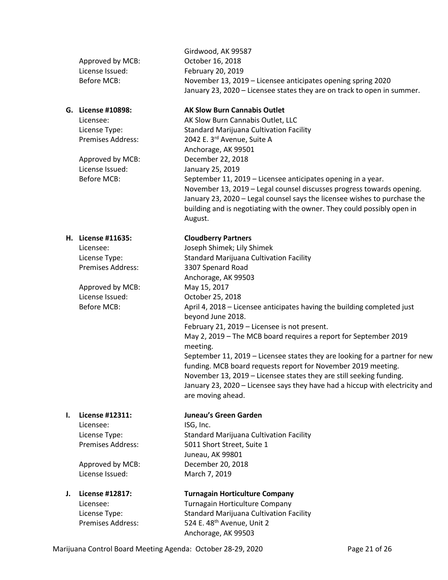License Issued: January 25, 2019

Approved by MCB: May 15, 2017 License Issued: October 25, 2018

Licensee: ISG, Inc.

License Issued: March 7, 2019

### Girdwood, AK 99587 Approved by MCB: October 16, 2018 License Issued: February 20, 2019 Before MCB: November 13, 2019 – Licensee anticipates opening spring 2020 January 23, 2020 – Licensee states they are on track to open in summer.

### **G. License #10898: AK Slow Burn Cannabis Outlet**

Licensee: AK Slow Burn Cannabis Outlet, LLC License Type: Standard Marijuana Cultivation Facility Premises Address: 2042 E. 3rd Avenue, Suite A Anchorage, AK 99501 Approved by MCB: December 22, 2018 Before MCB: September 11, 2019 – Licensee anticipates opening in a year. November 13, 2019 – Legal counsel discusses progress towards opening. January 23, 2020 – Legal counsel says the licensee wishes to purchase the building and is negotiating with the owner. They could possibly open in August.

# **H. License #11635: Cloudberry Partners**

Licensee: Joseph Shimek; Lily Shimek License Type: Standard Marijuana Cultivation Facility Premises Address: 3307 Spenard Road Anchorage, AK 99503 Before MCB: April 4, 2018 – Licensee anticipates having the building completed just beyond June 2018. February 21, 2019 – Licensee is not present. May 2, 2019 – The MCB board requires a report for September 2019 meeting. September 11, 2019 – Licensee states they are looking for a partner for new funding. MCB board requests report for November 2019 meeting. November 13, 2019 – Licensee states they are still seeking funding. January 23, 2020 – Licensee says they have had a hiccup with electricity and are moving ahead.

### **I. License #12311: Juneau's Green Garden**

License Type: Standard Marijuana Cultivation Facility Premises Address: 5011 Short Street, Suite 1 Juneau, AK 99801 Approved by MCB: December 20, 2018

# **J. License #12817: Turnagain Horticulture Company**  Licensee: Turnagain Horticulture Company License Type: Standard Marijuana Cultivation Facility

Premises Address: 524 E. 48<sup>th</sup> Avenue, Unit 2 Anchorage, AK 99503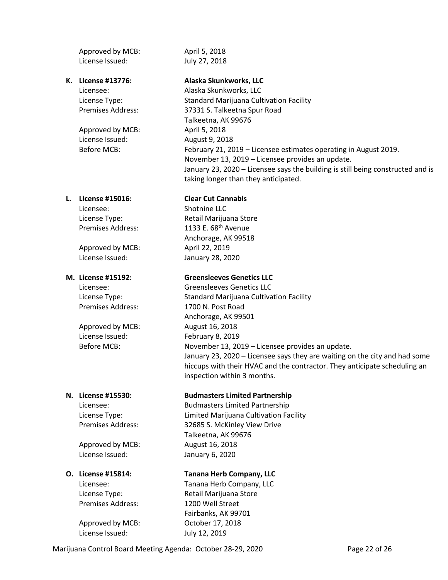Approved by MCB: April 5, 2018 License Issued: July 27, 2018

Approved by MCB: April 5, 2018 License Issued: August 9, 2018

### **L. License #15016: Clear Cut Cannabis**

Licensee: Shotnine LLC

Approved by MCB: April 22, 2019 License Issued: January 28, 2020

Approved by MCB: August 16, 2018 License Issued: February 8, 2019

Approved by MCB: August 16, 2018 License Issued: January 6, 2020

Premises Address: 1200 Well Street

Approved by MCB: October 17, 2018 License Issued: July 12, 2019

# **K. License #13776: Alaska Skunkworks, LLC**

Licensee: Alaska Skunkworks, LLC License Type: Standard Marijuana Cultivation Facility Premises Address: 37331 S. Talkeetna Spur Road Talkeetna, AK 99676 Before MCB: February 21, 2019 – Licensee estimates operating in August 2019. November 13, 2019 – Licensee provides an update. January 23, 2020 – Licensee says the building is still being constructed and is taking longer than they anticipated.

License Type: Retail Marijuana Store Premises Address: 1133 E. 68<sup>th</sup> Avenue Anchorage, AK 99518

# **M. License #15192: Greensleeves Genetics LLC**

Licensee: Greensleeves Genetics LLC License Type: Standard Marijuana Cultivation Facility Premises Address: 1700 N. Post Road Anchorage, AK 99501 Before MCB: November 13, 2019 – Licensee provides an update. January 23, 2020 – Licensee says they are waiting on the city and had some hiccups with their HVAC and the contractor. They anticipate scheduling an inspection within 3 months.

### **N. License #15530: Budmasters Limited Partnership**

Licensee: Budmasters Limited Partnership License Type: Limited Marijuana Cultivation Facility Premises Address: 32685 S. McKinley View Drive Talkeetna, AK 99676

### **O. License #15814: Tanana Herb Company, LLC**

Licensee: Tanana Herb Company, LLC License Type: The Retail Marijuana Store Fairbanks, AK 99701

Marijuana Control Board Meeting Agenda: October 28-29, 2020 Page 22 of 26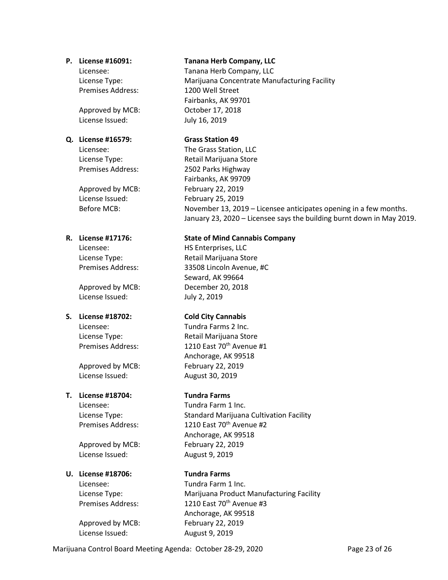Premises Address: 1200 Well Street

Approved by MCB: October 17, 2018 License Issued: July 16, 2019

### **Q. License #16579: Grass Station 49**

Approved by MCB: February 22, 2019 License Issued: February 25, 2019

License Issued: July 2, 2019

Approved by MCB: February 22, 2019 License Issued: August 30, 2019

# **T. License #18704: Tundra Farms**

Approved by MCB: February 22, 2019 License Issued: August 9, 2019

### **U. License #18706: Tundra Farms**

Approved by MCB: February 22, 2019 License Issued: August 9, 2019

### **P. License #16091: Tanana Herb Company, LLC**

Licensee: Tanana Herb Company, LLC License Type: Marijuana Concentrate Manufacturing Facility Fairbanks, AK 99701

Licensee: The Grass Station, LLC License Type: Retail Marijuana Store Premises Address: 2502 Parks Highway Fairbanks, AK 99709 Before MCB: November 13, 2019 – Licensee anticipates opening in a few months. January 23, 2020 – Licensee says the building burnt down in May 2019.

### **R. License #17176: State of Mind Cannabis Company**

Licensee: HS Enterprises, LLC License Type: Retail Marijuana Store Premises Address: 33508 Lincoln Avenue, #C Seward, AK 99664 Approved by MCB: December 20, 2018

# **S. License #18702: Cold City Cannabis**

Licensee: Tundra Farms 2 Inc. License Type: Retail Marijuana Store Premises Address: 1210 East 70<sup>th</sup> Avenue #1 Anchorage, AK 99518

Licensee: Tundra Farm 1 Inc. License Type: Standard Marijuana Cultivation Facility Premises Address: 1210 East 70<sup>th</sup> Avenue #2 Anchorage, AK 99518

Licensee: Tundra Farm 1 Inc. License Type: Marijuana Product Manufacturing Facility Premises Address: 1210 East 70<sup>th</sup> Avenue #3 Anchorage, AK 99518

Marijuana Control Board Meeting Agenda: October 28-29, 2020 Page 23 of 26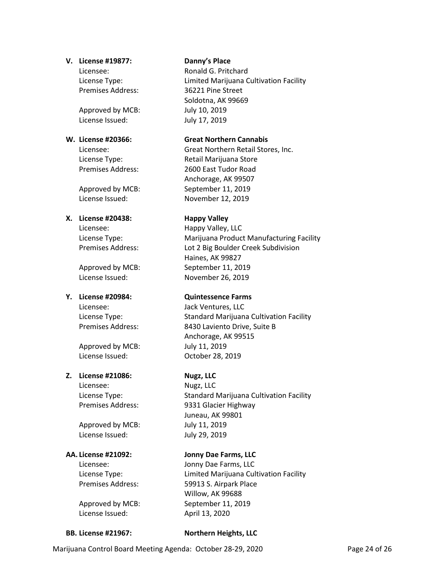### **V. License #19877: Danny's Place**

Premises Address: 36221 Pine Street

Approved by MCB: July 10, 2019 License Issued: July 17, 2019

### **X. License #20438: Happy Valley**

Licensee: Happy Valley, LLC

Licensee: Jack Ventures, LLC

Approved by MCB: July 11, 2019 License Issued: October 28, 2019

### **Z. License #21086: Nugz, LLC**

Licensee: Nugz, LLC

Approved by MCB: July 11, 2019 License Issued: July 29, 2019

License Issued: April 13, 2020

Licensee: Ronald G. Pritchard License Type: Limited Marijuana Cultivation Facility Soldotna, AK 99669

### **W. License #20366: Great Northern Cannabis**

Licensee: Great Northern Retail Stores, Inc. License Type: Retail Marijuana Store Premises Address: 2600 East Tudor Road Anchorage, AK 99507 Approved by MCB: September 11, 2019 License Issued: November 12, 2019

License Type: Marijuana Product Manufacturing Facility Premises Address: Lot 2 Big Boulder Creek Subdivision Haines, AK 99827 Approved by MCB: September 11, 2019 License Issued: November 26, 2019

# **Y. License #20984: Quintessence Farms**

License Type: Standard Marijuana Cultivation Facility<br>Premises Address: Standard Laviento Drive, Suite B 8430 Laviento Drive, Suite B Anchorage, AK 99515

License Type: Standard Marijuana Cultivation Facility Premises Address: 9331 Glacier Highway Juneau, AK 99801

# **AA. License #21092: Jonny Dae Farms, LLC**

Licensee: Jonny Dae Farms, LLC License Type: Limited Marijuana Cultivation Facility Premises Address: 59913 S. Airpark Place Willow, AK 99688 Approved by MCB: September 11, 2019

**BB. License #21967: Northern Heights, LLC**

Marijuana Control Board Meeting Agenda: October 28-29, 2020 Page 24 of 26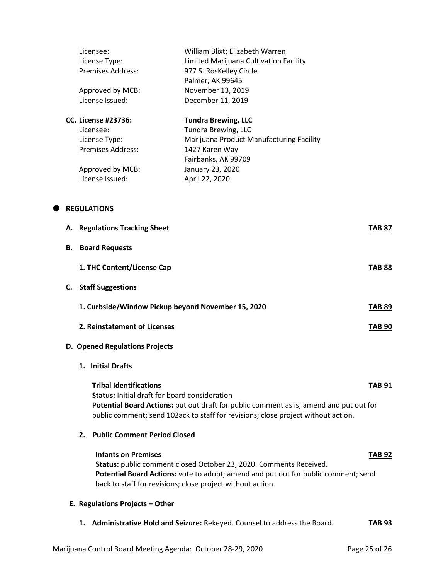|   |    |                                                    | Licensee:<br>License Type:<br><b>Premises Address:</b><br>Approved by MCB:                                                  | William Blixt; Elizabeth Warren<br>Limited Marijuana Cultivation Facility<br>977 S. RosKelley Circle<br>Palmer, AK 99645<br>November 13, 2019                                                                          |               |
|---|----|----------------------------------------------------|-----------------------------------------------------------------------------------------------------------------------------|------------------------------------------------------------------------------------------------------------------------------------------------------------------------------------------------------------------------|---------------|
|   |    |                                                    | License Issued:                                                                                                             | December 11, 2019                                                                                                                                                                                                      |               |
|   |    |                                                    | <b>CC. License #23736:</b><br>Licensee:<br>License Type:<br><b>Premises Address:</b><br>Approved by MCB:<br>License Issued: | <b>Tundra Brewing, LLC</b><br>Tundra Brewing, LLC<br>Marijuana Product Manufacturing Facility<br>1427 Karen Way<br>Fairbanks, AK 99709<br>January 23, 2020<br>April 22, 2020                                           |               |
| o |    |                                                    | <b>REGULATIONS</b>                                                                                                          |                                                                                                                                                                                                                        |               |
|   |    |                                                    | A. Regulations Tracking Sheet                                                                                               |                                                                                                                                                                                                                        | <b>TAB 87</b> |
|   | В. |                                                    | <b>Board Requests</b>                                                                                                       |                                                                                                                                                                                                                        |               |
|   |    |                                                    | 1. THC Content/License Cap                                                                                                  |                                                                                                                                                                                                                        | <b>TAB 88</b> |
|   |    | <b>C.</b> Staff Suggestions                        |                                                                                                                             |                                                                                                                                                                                                                        |               |
|   |    | 1. Curbside/Window Pickup beyond November 15, 2020 |                                                                                                                             |                                                                                                                                                                                                                        | <b>TAB 89</b> |
|   |    | 2. Reinstatement of Licenses                       |                                                                                                                             |                                                                                                                                                                                                                        | <b>TAB 90</b> |
|   |    | D. Opened Regulations Projects                     |                                                                                                                             |                                                                                                                                                                                                                        |               |
|   |    |                                                    | 1. Initial Drafts                                                                                                           |                                                                                                                                                                                                                        |               |
|   |    |                                                    | <b>Tribal Identifications</b><br><b>Status: Initial draft for board consideration</b>                                       | Potential Board Actions: put out draft for public comment as is; amend and put out for<br>public comment; send 102ack to staff for revisions; close project without action.                                            | TAB 91        |
|   |    | 2.                                                 | <b>Public Comment Period Closed</b>                                                                                         |                                                                                                                                                                                                                        |               |
|   |    |                                                    | <b>Infants on Premises</b>                                                                                                  | Status: public comment closed October 23, 2020. Comments Received.<br>Potential Board Actions: vote to adopt; amend and put out for public comment; send<br>back to staff for revisions; close project without action. | <b>TAB 92</b> |
|   |    |                                                    | E. Regulations Projects - Other                                                                                             |                                                                                                                                                                                                                        |               |
|   |    |                                                    |                                                                                                                             | 1. Administrative Hold and Seizure: Rekeyed. Counsel to address the Board.                                                                                                                                             | TAB 93        |
|   |    |                                                    |                                                                                                                             |                                                                                                                                                                                                                        |               |